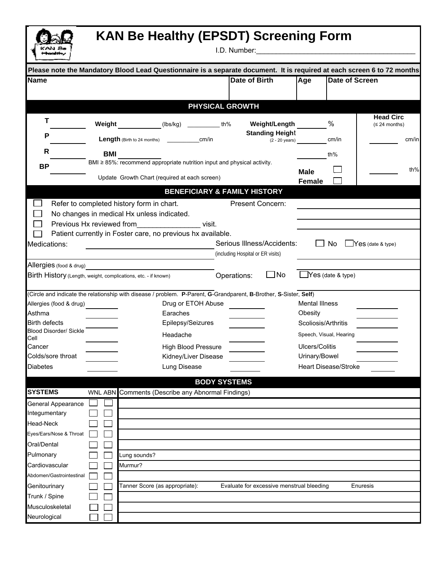

## **KAN Be Healthy (EPSDT) Screening Form**

I.D. Number:\_\_\_\_\_\_\_\_\_\_\_\_\_\_\_\_\_\_\_\_\_\_\_\_\_\_\_\_\_\_\_\_\_\_\_\_\_\_\_\_

|                         |                                                   |                                                                                                                                                                                                                              |                                                                                                                                                                                                                                                                                                                       |                                                                                                                   |                                                                                                                                                                                                                |                                                                                                                                                                                                                               | <b>Head Circ</b>                                                                                                                                                                                                                                                                                                                                                                                |
|-------------------------|---------------------------------------------------|------------------------------------------------------------------------------------------------------------------------------------------------------------------------------------------------------------------------------|-----------------------------------------------------------------------------------------------------------------------------------------------------------------------------------------------------------------------------------------------------------------------------------------------------------------------|-------------------------------------------------------------------------------------------------------------------|----------------------------------------------------------------------------------------------------------------------------------------------------------------------------------------------------------------|-------------------------------------------------------------------------------------------------------------------------------------------------------------------------------------------------------------------------------|-------------------------------------------------------------------------------------------------------------------------------------------------------------------------------------------------------------------------------------------------------------------------------------------------------------------------------------------------------------------------------------------------|
|                         |                                                   | th%                                                                                                                                                                                                                          |                                                                                                                                                                                                                                                                                                                       |                                                                                                                   |                                                                                                                                                                                                                |                                                                                                                                                                                                                               | (≤ 24 months)                                                                                                                                                                                                                                                                                                                                                                                   |
|                         |                                                   |                                                                                                                                                                                                                              |                                                                                                                                                                                                                                                                                                                       |                                                                                                                   |                                                                                                                                                                                                                | cm/in                                                                                                                                                                                                                         | cm/in                                                                                                                                                                                                                                                                                                                                                                                           |
|                         |                                                   |                                                                                                                                                                                                                              |                                                                                                                                                                                                                                                                                                                       |                                                                                                                   |                                                                                                                                                                                                                |                                                                                                                                                                                                                               |                                                                                                                                                                                                                                                                                                                                                                                                 |
|                         |                                                   |                                                                                                                                                                                                                              |                                                                                                                                                                                                                                                                                                                       |                                                                                                                   |                                                                                                                                                                                                                |                                                                                                                                                                                                                               |                                                                                                                                                                                                                                                                                                                                                                                                 |
|                         |                                                   |                                                                                                                                                                                                                              |                                                                                                                                                                                                                                                                                                                       |                                                                                                                   | <b>Male</b>                                                                                                                                                                                                    |                                                                                                                                                                                                                               | th%                                                                                                                                                                                                                                                                                                                                                                                             |
|                         |                                                   |                                                                                                                                                                                                                              |                                                                                                                                                                                                                                                                                                                       |                                                                                                                   | <b>Female</b>                                                                                                                                                                                                  |                                                                                                                                                                                                                               |                                                                                                                                                                                                                                                                                                                                                                                                 |
|                         |                                                   |                                                                                                                                                                                                                              |                                                                                                                                                                                                                                                                                                                       |                                                                                                                   |                                                                                                                                                                                                                |                                                                                                                                                                                                                               |                                                                                                                                                                                                                                                                                                                                                                                                 |
|                         |                                                   |                                                                                                                                                                                                                              |                                                                                                                                                                                                                                                                                                                       |                                                                                                                   |                                                                                                                                                                                                                |                                                                                                                                                                                                                               |                                                                                                                                                                                                                                                                                                                                                                                                 |
|                         |                                                   |                                                                                                                                                                                                                              |                                                                                                                                                                                                                                                                                                                       |                                                                                                                   |                                                                                                                                                                                                                |                                                                                                                                                                                                                               |                                                                                                                                                                                                                                                                                                                                                                                                 |
|                         |                                                   |                                                                                                                                                                                                                              |                                                                                                                                                                                                                                                                                                                       |                                                                                                                   |                                                                                                                                                                                                                |                                                                                                                                                                                                                               |                                                                                                                                                                                                                                                                                                                                                                                                 |
|                         |                                                   |                                                                                                                                                                                                                              |                                                                                                                                                                                                                                                                                                                       |                                                                                                                   |                                                                                                                                                                                                                |                                                                                                                                                                                                                               |                                                                                                                                                                                                                                                                                                                                                                                                 |
|                         |                                                   |                                                                                                                                                                                                                              |                                                                                                                                                                                                                                                                                                                       |                                                                                                                   |                                                                                                                                                                                                                |                                                                                                                                                                                                                               | $\textsf{Yes}$ (date & type)                                                                                                                                                                                                                                                                                                                                                                    |
|                         |                                                   |                                                                                                                                                                                                                              |                                                                                                                                                                                                                                                                                                                       |                                                                                                                   |                                                                                                                                                                                                                |                                                                                                                                                                                                                               |                                                                                                                                                                                                                                                                                                                                                                                                 |
|                         |                                                   |                                                                                                                                                                                                                              |                                                                                                                                                                                                                                                                                                                       |                                                                                                                   |                                                                                                                                                                                                                |                                                                                                                                                                                                                               |                                                                                                                                                                                                                                                                                                                                                                                                 |
|                         |                                                   |                                                                                                                                                                                                                              |                                                                                                                                                                                                                                                                                                                       |                                                                                                                   |                                                                                                                                                                                                                |                                                                                                                                                                                                                               |                                                                                                                                                                                                                                                                                                                                                                                                 |
|                         |                                                   |                                                                                                                                                                                                                              |                                                                                                                                                                                                                                                                                                                       |                                                                                                                   |                                                                                                                                                                                                                |                                                                                                                                                                                                                               |                                                                                                                                                                                                                                                                                                                                                                                                 |
|                         |                                                   |                                                                                                                                                                                                                              |                                                                                                                                                                                                                                                                                                                       |                                                                                                                   |                                                                                                                                                                                                                |                                                                                                                                                                                                                               |                                                                                                                                                                                                                                                                                                                                                                                                 |
|                         |                                                   |                                                                                                                                                                                                                              |                                                                                                                                                                                                                                                                                                                       |                                                                                                                   | Obesity                                                                                                                                                                                                        |                                                                                                                                                                                                                               |                                                                                                                                                                                                                                                                                                                                                                                                 |
|                         |                                                   |                                                                                                                                                                                                                              |                                                                                                                                                                                                                                                                                                                       |                                                                                                                   |                                                                                                                                                                                                                |                                                                                                                                                                                                                               |                                                                                                                                                                                                                                                                                                                                                                                                 |
|                         |                                                   |                                                                                                                                                                                                                              |                                                                                                                                                                                                                                                                                                                       |                                                                                                                   |                                                                                                                                                                                                                |                                                                                                                                                                                                                               |                                                                                                                                                                                                                                                                                                                                                                                                 |
|                         |                                                   |                                                                                                                                                                                                                              |                                                                                                                                                                                                                                                                                                                       |                                                                                                                   |                                                                                                                                                                                                                |                                                                                                                                                                                                                               |                                                                                                                                                                                                                                                                                                                                                                                                 |
|                         |                                                   |                                                                                                                                                                                                                              |                                                                                                                                                                                                                                                                                                                       |                                                                                                                   |                                                                                                                                                                                                                |                                                                                                                                                                                                                               |                                                                                                                                                                                                                                                                                                                                                                                                 |
|                         |                                                   |                                                                                                                                                                                                                              |                                                                                                                                                                                                                                                                                                                       |                                                                                                                   |                                                                                                                                                                                                                |                                                                                                                                                                                                                               |                                                                                                                                                                                                                                                                                                                                                                                                 |
|                         |                                                   |                                                                                                                                                                                                                              |                                                                                                                                                                                                                                                                                                                       |                                                                                                                   |                                                                                                                                                                                                                |                                                                                                                                                                                                                               |                                                                                                                                                                                                                                                                                                                                                                                                 |
|                         |                                                   |                                                                                                                                                                                                                              |                                                                                                                                                                                                                                                                                                                       |                                                                                                                   |                                                                                                                                                                                                                |                                                                                                                                                                                                                               |                                                                                                                                                                                                                                                                                                                                                                                                 |
|                         |                                                   |                                                                                                                                                                                                                              |                                                                                                                                                                                                                                                                                                                       |                                                                                                                   |                                                                                                                                                                                                                |                                                                                                                                                                                                                               |                                                                                                                                                                                                                                                                                                                                                                                                 |
|                         |                                                   |                                                                                                                                                                                                                              |                                                                                                                                                                                                                                                                                                                       |                                                                                                                   |                                                                                                                                                                                                                |                                                                                                                                                                                                                               |                                                                                                                                                                                                                                                                                                                                                                                                 |
|                         |                                                   |                                                                                                                                                                                                                              |                                                                                                                                                                                                                                                                                                                       |                                                                                                                   |                                                                                                                                                                                                                |                                                                                                                                                                                                                               |                                                                                                                                                                                                                                                                                                                                                                                                 |
|                         |                                                   |                                                                                                                                                                                                                              |                                                                                                                                                                                                                                                                                                                       |                                                                                                                   |                                                                                                                                                                                                                |                                                                                                                                                                                                                               |                                                                                                                                                                                                                                                                                                                                                                                                 |
|                         |                                                   |                                                                                                                                                                                                                              |                                                                                                                                                                                                                                                                                                                       |                                                                                                                   |                                                                                                                                                                                                                |                                                                                                                                                                                                                               |                                                                                                                                                                                                                                                                                                                                                                                                 |
| Lung sounds?            |                                                   |                                                                                                                                                                                                                              |                                                                                                                                                                                                                                                                                                                       |                                                                                                                   |                                                                                                                                                                                                                |                                                                                                                                                                                                                               |                                                                                                                                                                                                                                                                                                                                                                                                 |
| Murmur?                 |                                                   |                                                                                                                                                                                                                              |                                                                                                                                                                                                                                                                                                                       |                                                                                                                   |                                                                                                                                                                                                                |                                                                                                                                                                                                                               |                                                                                                                                                                                                                                                                                                                                                                                                 |
|                         |                                                   |                                                                                                                                                                                                                              |                                                                                                                                                                                                                                                                                                                       |                                                                                                                   |                                                                                                                                                                                                                |                                                                                                                                                                                                                               |                                                                                                                                                                                                                                                                                                                                                                                                 |
|                         |                                                   |                                                                                                                                                                                                                              |                                                                                                                                                                                                                                                                                                                       |                                                                                                                   |                                                                                                                                                                                                                |                                                                                                                                                                                                                               | Enuresis                                                                                                                                                                                                                                                                                                                                                                                        |
|                         |                                                   |                                                                                                                                                                                                                              |                                                                                                                                                                                                                                                                                                                       |                                                                                                                   |                                                                                                                                                                                                                |                                                                                                                                                                                                                               |                                                                                                                                                                                                                                                                                                                                                                                                 |
|                         |                                                   |                                                                                                                                                                                                                              |                                                                                                                                                                                                                                                                                                                       |                                                                                                                   |                                                                                                                                                                                                                |                                                                                                                                                                                                                               |                                                                                                                                                                                                                                                                                                                                                                                                 |
|                         |                                                   |                                                                                                                                                                                                                              |                                                                                                                                                                                                                                                                                                                       |                                                                                                                   |                                                                                                                                                                                                                |                                                                                                                                                                                                                               |                                                                                                                                                                                                                                                                                                                                                                                                 |
| Allergies (food & drug) | Weight<br><b>BMI</b><br>Previous Hx reviewed from | Length (Birth to 24 months) ___________<br>Refer to completed history form in chart.<br>No changes in medical Hx unless indicated.<br>Birth History (Length, weight, complications, etc. - if known)<br>Earaches<br>Headache | (lbs/kg)<br>cm/in<br>Update Growth Chart (required at each screen)<br>______________________ visit.<br>Patient currently in Foster care, no previous hx available.<br>Drug or ETOH Abuse<br>Epilepsy/Seizures<br><b>High Blood Pressure</b><br>Kidney/Liver Disease<br>Lung Disease<br>Tanner Score (as appropriate): | <b>PHYSICAL GROWTH</b><br>Operations:<br><b>BODY SYSTEMS</b><br>WNL ABN Comments (Describe any Abnormal Findings) | Date of Birth<br>BMI $\geq$ 85%: recommend appropriate nutrition input and physical activity.<br><b>BENEFICIARY &amp; FAMILY HISTORY</b><br>Present Concern:<br>(including Hospital or ER visits)<br>$\Box$ No | Age<br>Weight/Length<br><b>Standing Height</b><br>$(2 - 20 \text{ years})$<br>Serious Illness/Accidents:<br>(Circle and indicate the relationship with disease / problem. P-Parent, G-Grandparent, B-Brother, S-Sister, Self) | Please note the Mandatory Blood Lead Questionnaire is a separate document. It is required at each screen 6 to 72 months<br><b>Date of Screen</b><br>$\%$<br>th%<br>No.<br>$\exists$ Yes (date & type)<br><b>Mental Illness</b><br>Scoliosis/Arthritis<br>Speech, Visual, Hearing<br>Ulcers/Colitis<br>Urinary/Bowel<br><b>Heart Disease/Stroke</b><br>Evaluate for excessive menstrual bleeding |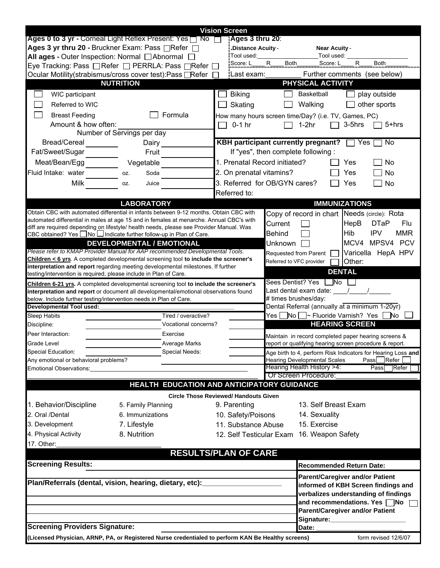| <b>Vision Screen</b>                                              |                                                                                                                                                                                    |                                                                                                                         |                                                            |  |  |  |
|-------------------------------------------------------------------|------------------------------------------------------------------------------------------------------------------------------------------------------------------------------------|-------------------------------------------------------------------------------------------------------------------------|------------------------------------------------------------|--|--|--|
|                                                                   | Ages 0 to 3 yr - Corneal Light Reflex Present: Yes \[ No                                                                                                                           | Ages 3 thru 20:                                                                                                         |                                                            |  |  |  |
|                                                                   | Ages 3 yr thru 20 - Bruckner Exam: Pass ∏Refer ∏                                                                                                                                   | Distance Acuity -<br><b>Near Acuity -</b>                                                                               |                                                            |  |  |  |
|                                                                   | All ages - Outer Inspection: Normal Abnormal $\Box$                                                                                                                                | Tool used:<br>Tool used:<br>Result Both<br>Score: L<br>Score: L<br>R<br>Both_                                           |                                                            |  |  |  |
|                                                                   | Eye Tracking: Pass □ Refer □ PERRLA: Pass □ Refer □<br>Ocular Motility(strabismus/cross cover test):Pass Refer                                                                     | 'Last exam:                                                                                                             | Further comments (see below)                               |  |  |  |
|                                                                   | <b>NUTRITION</b>                                                                                                                                                                   | PHYSICAL ACTIVITY                                                                                                       |                                                            |  |  |  |
|                                                                   |                                                                                                                                                                                    |                                                                                                                         |                                                            |  |  |  |
| WIC participant                                                   |                                                                                                                                                                                    | Basketball<br><b>Biking</b>                                                                                             | play outside                                               |  |  |  |
| Referred to WIC                                                   |                                                                                                                                                                                    | Walking<br>Skating                                                                                                      | other sports                                               |  |  |  |
| <b>Breast Feeding</b>                                             | Formula                                                                                                                                                                            | How many hours screen time/Day? (i.e. TV, Games, PC)                                                                    |                                                            |  |  |  |
| Amount & how often:                                               |                                                                                                                                                                                    | $0-1$ hr<br>$1-2hr$                                                                                                     | 3-5hrs<br>5+hrs                                            |  |  |  |
| <b>Bread/Cereal</b>                                               | Number of Servings per day                                                                                                                                                         |                                                                                                                         | No                                                         |  |  |  |
|                                                                   | Dairy                                                                                                                                                                              | KBH participant currently pregnant? TVes<br>If "yes", then complete following:                                          |                                                            |  |  |  |
| Fat/Sweet/Sugar                                                   | Fruit                                                                                                                                                                              |                                                                                                                         |                                                            |  |  |  |
| Meat/Bean/Egg                                                     | Vegetable                                                                                                                                                                          | 1. Prenatal Record initiated?                                                                                           | No<br>Yes                                                  |  |  |  |
| Fluid Intake: water                                               | Soda<br>OZ.                                                                                                                                                                        | 2. On prenatal vitamins?                                                                                                | <b>No</b><br>Yes                                           |  |  |  |
| Milk                                                              | Juice<br>OZ.                                                                                                                                                                       | 3. Referred for OB/GYN cares?                                                                                           | Yes<br>No                                                  |  |  |  |
|                                                                   |                                                                                                                                                                                    | Referred to:                                                                                                            |                                                            |  |  |  |
|                                                                   | <b>LABORATORY</b>                                                                                                                                                                  |                                                                                                                         | <b>IMMUNIZATIONS</b>                                       |  |  |  |
|                                                                   | Obtain CBC with automated differential in infants between 9-12 months. Obtain CBC with                                                                                             |                                                                                                                         | Copy of record in chart Needs (circle): Rota               |  |  |  |
|                                                                   | automated differential in males at age 15 and in females at menarche. Annual CBC's with<br>diff are required depending on lifestyle/ health needs, please see Provider Manual. Was | Current                                                                                                                 | HepB<br><b>DTaP</b><br>Flu                                 |  |  |  |
|                                                                   | CBC obtained? Yes No <u>UIndicate further follow-up in Plan of Care</u> .                                                                                                          | <b>Behind</b>                                                                                                           | <b>IPV</b><br><b>MMR</b><br><b>Hib</b>                     |  |  |  |
|                                                                   | <b>DEVELOPMENTAL / EMOTIONAL</b>                                                                                                                                                   | Unknown                                                                                                                 | MCV4 MPSV4<br><b>PCV</b>                                   |  |  |  |
|                                                                   | Please refer to KMAP Provider Manual for AAP recommended Developmental Tools.                                                                                                      | Requested from Parent                                                                                                   | Varicella HepA HPV                                         |  |  |  |
|                                                                   | Children < 6 yrs. A completed developmental screening tool to include the screener's<br>interpretation and report regarding meeting developmental milestones. If further           | Referred to VFC provider<br>Other:                                                                                      |                                                            |  |  |  |
| testing/intervention is required, please include in Plan of Care. |                                                                                                                                                                                    |                                                                                                                         | <b>DENTAL</b>                                              |  |  |  |
|                                                                   | Children 6-21 yrs. A completed developmental screening tool to include the screener's                                                                                              | Sees Dentist? Yes No                                                                                                    |                                                            |  |  |  |
|                                                                   | interpretation and report or document all developmental/emotional observations found                                                                                               | Last dental exam date: $\sqrt{2}$                                                                                       |                                                            |  |  |  |
|                                                                   | below. Include further testing/intervention needs in Plan of Care.                                                                                                                 | # times brushes/day:                                                                                                    |                                                            |  |  |  |
| Developmental Tool used:                                          |                                                                                                                                                                                    |                                                                                                                         | Dental Referral (annually at a minimum 1-20yr)             |  |  |  |
| <b>Sleep Habits</b>                                               | Tired / overactive?<br>Vocational concerns?                                                                                                                                        | Yes                                                                                                                     | No - Fluoride Varnish? Yes<br>`No<br><b>HEARING SCREEN</b> |  |  |  |
| Discipline:                                                       |                                                                                                                                                                                    |                                                                                                                         |                                                            |  |  |  |
| Peer Interaction:                                                 | Exercise                                                                                                                                                                           |                                                                                                                         | Maintain in record completed paper hearing screens &       |  |  |  |
| Grade Level<br>Special Education:                                 | Average Marks<br>Special Needs:                                                                                                                                                    | report or qualifying hearing screen procedure & report.<br>Age birth to 4, perform Risk Indicators for Hearing Loss and |                                                            |  |  |  |
| Any emotional or behavioral problems?                             |                                                                                                                                                                                    | <b>Hearing Developmental Scales</b>                                                                                     | $\exists$ Refer<br>PassL                                   |  |  |  |
| Emotional Observations:                                           |                                                                                                                                                                                    | Hearing Health History >4:                                                                                              | Pass<br> Refer                                             |  |  |  |
|                                                                   |                                                                                                                                                                                    | Or Screen Procedure:                                                                                                    |                                                            |  |  |  |
|                                                                   |                                                                                                                                                                                    | <b>HEALTH EDUCATION AND ANTICIPATORY GUIDANCE</b>                                                                       |                                                            |  |  |  |
|                                                                   |                                                                                                                                                                                    | <b>Circle Those Reviewed/ Handouts Given</b>                                                                            |                                                            |  |  |  |
| 1. Behavior/Discipline                                            | 5. Family Planning                                                                                                                                                                 | 9. Parenting                                                                                                            | 13. Self Breast Exam                                       |  |  |  |
| 2. Oral /Dental                                                   | 6. Immunizations                                                                                                                                                                   | 14. Sexuality<br>10. Safety/Poisons                                                                                     |                                                            |  |  |  |
| 3. Development                                                    | 7. Lifestyle                                                                                                                                                                       | 15. Exercise<br>11. Substance Abuse                                                                                     |                                                            |  |  |  |
| 4. Physical Activity                                              | 8. Nutrition                                                                                                                                                                       | 12. Self Testicular Exam                                                                                                | 16. Weapon Safety                                          |  |  |  |
| 17. Other:                                                        |                                                                                                                                                                                    |                                                                                                                         |                                                            |  |  |  |
|                                                                   |                                                                                                                                                                                    | <b>RESULTS/PLAN OF CARE</b>                                                                                             |                                                            |  |  |  |
| <b>Screening Results:</b>                                         |                                                                                                                                                                                    |                                                                                                                         | <b>Recommended Return Date:</b>                            |  |  |  |
|                                                                   |                                                                                                                                                                                    |                                                                                                                         | <b>Parent/Caregiver and/or Patient</b>                     |  |  |  |
|                                                                   | Plan/Referrals (dental, vision, hearing, dietary, etc):                                                                                                                            |                                                                                                                         | informed of KBH Screen findings and                        |  |  |  |
|                                                                   |                                                                                                                                                                                    |                                                                                                                         | verbalizes understanding of findings                       |  |  |  |
|                                                                   |                                                                                                                                                                                    |                                                                                                                         | and recommendations. Yes No                                |  |  |  |
|                                                                   |                                                                                                                                                                                    | <b>Parent/Caregiver and/or Patient</b>                                                                                  |                                                            |  |  |  |
|                                                                   |                                                                                                                                                                                    |                                                                                                                         | Signature: _______________________                         |  |  |  |
| <b>Screening Providers Signature:</b>                             |                                                                                                                                                                                    | Date:                                                                                                                   |                                                            |  |  |  |
|                                                                   |                                                                                                                                                                                    | (Licensed Physician, ARNP, PA, or Registered Nurse credentialed to perform KAN Be Healthy screens)                      | form revised 12/6/07                                       |  |  |  |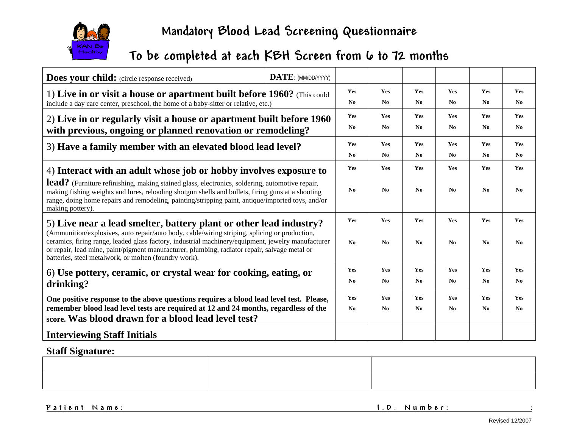

## **Mandatory Blood Lead Screening Questionnaire**

**To be completed at each KBH Screen from 6 to 72 months** 

| <b>Does your child:</b> (circle response received)                                                                                                                                                                                                                                                                                                            | DATE: (MM/DD/YYYY) |                       |                  |                       |                |                |                              |
|---------------------------------------------------------------------------------------------------------------------------------------------------------------------------------------------------------------------------------------------------------------------------------------------------------------------------------------------------------------|--------------------|-----------------------|------------------|-----------------------|----------------|----------------|------------------------------|
| 1) Live in or visit a house or apartment built before 1960? (This could                                                                                                                                                                                                                                                                                       |                    |                       | <b>Yes</b><br>No | Yes<br>N <sub>0</sub> | Yes<br>No.     | Yes<br>No.     | <b>Yes</b><br>N <sub>0</sub> |
| include a day care center, preschool, the home of a baby-sitter or relative, etc.)                                                                                                                                                                                                                                                                            |                    | N <sub>0</sub><br>Yes | Yes              | Yes                   | Yes            | <b>Yes</b>     | Yes                          |
| 2) Live in or regularly visit a house or apartment built before 1960<br>with previous, ongoing or planned renovation or remodeling?                                                                                                                                                                                                                           |                    | N <sub>0</sub>        | No               | N <sub>0</sub>        | N <sub>0</sub> | N <sub>0</sub> | N <sub>0</sub>               |
| 3) Have a family member with an elevated blood lead level?                                                                                                                                                                                                                                                                                                    |                    | Yes                   | <b>Yes</b>       | Yes                   | Yes            | Yes            | Yes                          |
|                                                                                                                                                                                                                                                                                                                                                               |                    | No                    | No               | No                    | N <sub>0</sub> | No             | N <sub>0</sub>               |
| 4) Interact with an adult whose job or hobby involves exposure to                                                                                                                                                                                                                                                                                             |                    | Yes                   | <b>Yes</b>       | Yes                   | <b>Yes</b>     | <b>Yes</b>     | Yes                          |
| lead? (Furniture refinishing, making stained glass, electronics, soldering, automotive repair,<br>making fishing weights and lures, reloading shotgun shells and bullets, firing guns at a shooting<br>range, doing home repairs and remodeling, painting/stripping paint, antique/imported toys, and/or<br>making pottery).                                  |                    |                       | No               | N <sub>0</sub>        | No.            | No.            | No.                          |
| 5) Live near a lead smelter, battery plant or other lead industry?                                                                                                                                                                                                                                                                                            |                    |                       | <b>Yes</b>       | Yes                   | Yes            | Yes            | Yes                          |
| (Ammunition/explosives, auto repair/auto body, cable/wiring striping, splicing or production,<br>ceramics, firing range, leaded glass factory, industrial machinery/equipment, jewelry manufacturer<br>or repair, lead mine, paint/pigment manufacturer, plumbing, radiator repair, salvage metal or<br>batteries, steel metalwork, or molten (foundry work). |                    |                       | $\mathbf{N}_0$   | No                    | $\mathbf{N}_0$ | No.            | No.                          |
| 6) Use pottery, ceramic, or crystal wear for cooking, eating, or                                                                                                                                                                                                                                                                                              |                    |                       | <b>Yes</b>       | Yes                   | Yes            | <b>Yes</b>     | Yes                          |
| drinking?                                                                                                                                                                                                                                                                                                                                                     |                    |                       | No.              | N <sub>0</sub>        | No.            | No.            | No.                          |
| One positive response to the above questions requires a blood lead level test. Please,                                                                                                                                                                                                                                                                        |                    | Yes                   | <b>Yes</b>       | Yes                   | <b>Yes</b>     | Yes            | <b>Yes</b>                   |
| remember blood lead level tests are required at 12 and 24 months, regardless of the<br>score. Was blood drawn for a blood lead level test?                                                                                                                                                                                                                    |                    |                       | No.              | N <sub>0</sub>        | No.            | No.            | No.                          |
| <b>Interviewing Staff Initials</b>                                                                                                                                                                                                                                                                                                                            |                    |                       |                  |                       |                |                |                              |

## **Staff Signature:**